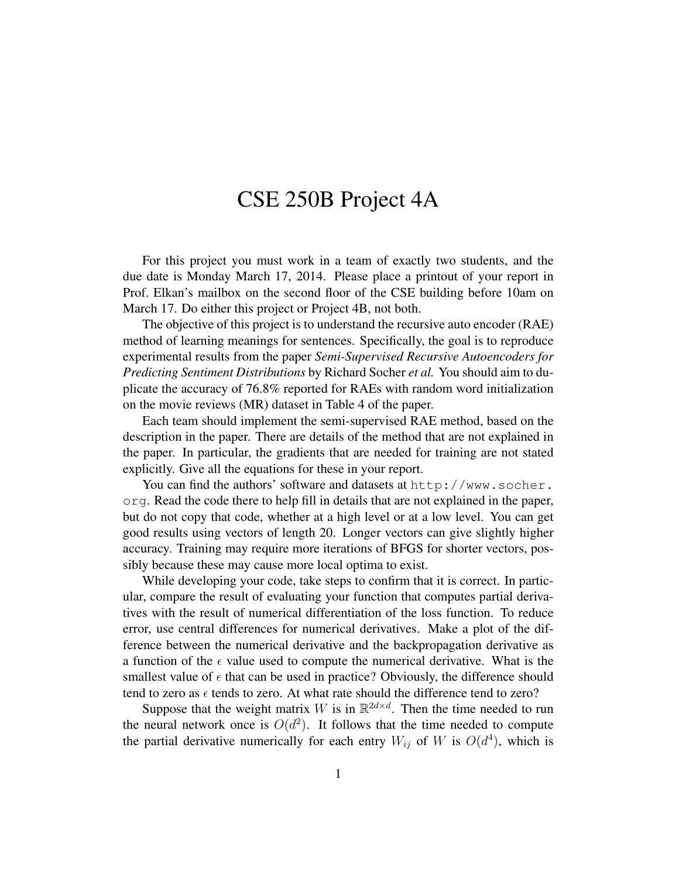## CSE 250B Project 4A

For this project you must work in a team of exactly two students, and the due date is Monday March 17, 2014. Please place a printout of your report in Prof. Elkan's mailbox on the second floor of the CSE building before 10am on March 17. Do either this project or Project 4B, not both.

The objective of this project is to understand the recursive auto encoder (RAE) method of learning meanings for sentences. Specifically, the goal is to reproduce experimental results from the paper *Semi-Supervised Recursive Autoencoders for Predicting Sentiment Distributions* by Richard Socher *et al.* You should aim to duplicate the accuracy of 76.8% reported for RAEs with random word initialization on the movie reviews (MR) dataset in Table 4 of the paper.

Each team should implement the semi-supervised RAE method, based on the description in the paper. There are details of the method that are not explained in the paper. In particular, the gradients that are needed for training are not stated explicitly. Give all the equations for these in your report.

You can find the authors' software and datasets at http://www.socher. org. Read the code there to help fill in details that are not explained in the paper, but do not copy that code, whether at a high level or at a low level. You can get good results using vectors of length 20. Longer vectors can give slightly higher accuracy. Training may require more iterations of BFGS for shorter vectors, possibly because these may cause more local optima to exist.

While developing your code, take steps to confirm that it is correct. In particular, compare the result of evaluating your function that computes partial derivatives with the result of numerical differentiation of the loss function. To reduce error, use central differences for numerical derivatives. Make a plot of the difference between the numerical derivative and the backpropagation derivative as a function of the  $\epsilon$  value used to compute the numerical derivative. What is the smallest value of  $\epsilon$  that can be used in practice? Obviously, the difference should tend to zero as  $\epsilon$  tends to zero. At what rate should the difference tend to zero?

Suppose that the weight matrix W is in  $\mathbb{R}^{2d \times d}$ . Then the time needed to run the neural network once is  $O(d^2)$ . It follows that the time needed to compute the partial derivative numerically for each entry  $W_{ij}$  of W is  $O(d^4)$ , which is